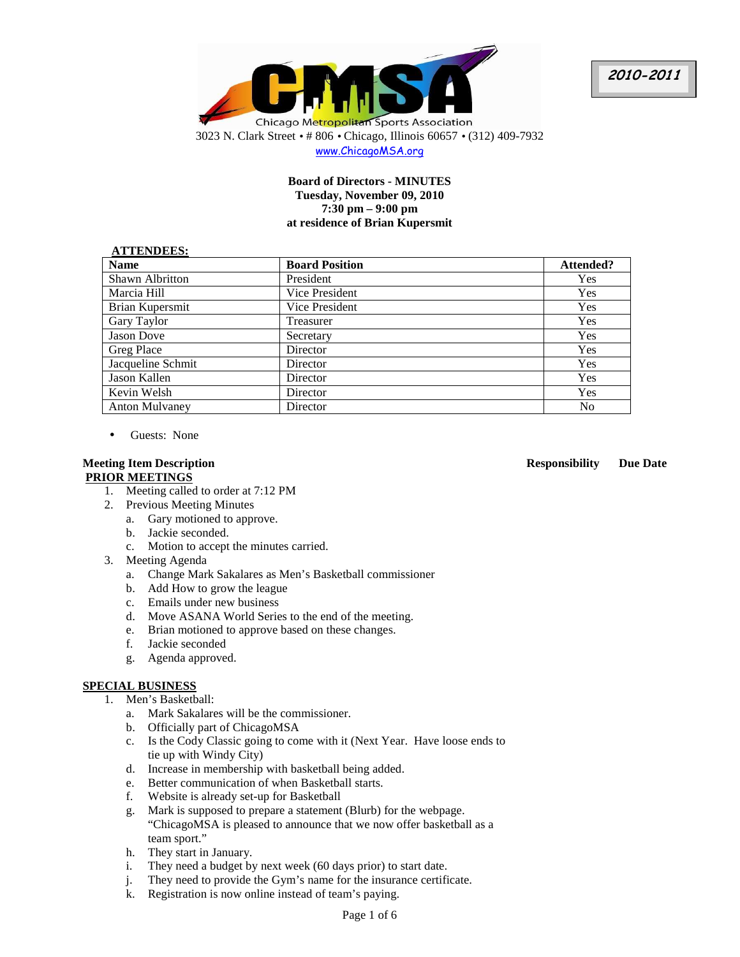



www.ChicagoMSA.org

# **Board of Directors - MINUTES Tuesday, November 09, 2010 7:30 pm – 9:00 pm at residence of Brian Kupersmit**

#### **ATTENDEES:**

| *** ***********        |                       |                |
|------------------------|-----------------------|----------------|
| <b>Name</b>            | <b>Board Position</b> | Attended?      |
| <b>Shawn Albritton</b> | President             | Yes            |
| Marcia Hill            | Vice President        | <b>Yes</b>     |
| Brian Kupersmit        | Vice President        | Yes            |
| Gary Taylor            | Treasurer             | Yes            |
| <b>Jason Dove</b>      | Secretary             | <b>Yes</b>     |
| Greg Place             | Director              | <b>Yes</b>     |
| Jacqueline Schmit      | Director              | <b>Yes</b>     |
| Jason Kallen           | Director              | Yes            |
| Kevin Welsh            | Director              | Yes            |
| <b>Anton Mulvaney</b>  | Director              | N <sub>0</sub> |

• Guests: None

## **Meeting Item Description Responsibility Due Date PRIOR MEETINGS**

- 1. Meeting called to order at 7:12 PM
- 2. Previous Meeting Minutes
	- a. Gary motioned to approve.
	- b. Jackie seconded.
	- c. Motion to accept the minutes carried.
- 3. Meeting Agenda
	- a. Change Mark Sakalares as Men's Basketball commissioner
	- b. Add How to grow the league
	- c. Emails under new business
	- d. Move ASANA World Series to the end of the meeting.
	- e. Brian motioned to approve based on these changes.
	- f. Jackie seconded
	- g. Agenda approved.

# **SPECIAL BUSINESS**

- 1. Men's Basketball:
	- a. Mark Sakalares will be the commissioner.
	- b. Officially part of ChicagoMSA
	- c. Is the Cody Classic going to come with it (Next Year. Have loose ends to tie up with Windy City)
	- d. Increase in membership with basketball being added.
	- e. Better communication of when Basketball starts.
	- f. Website is already set-up for Basketball
	- g. Mark is supposed to prepare a statement (Blurb) for the webpage. "ChicagoMSA is pleased to announce that we now offer basketball as a team sport."
	- h. They start in January.
	- i. They need a budget by next week (60 days prior) to start date.
	- j. They need to provide the Gym's name for the insurance certificate.
	- k. Registration is now online instead of team's paying.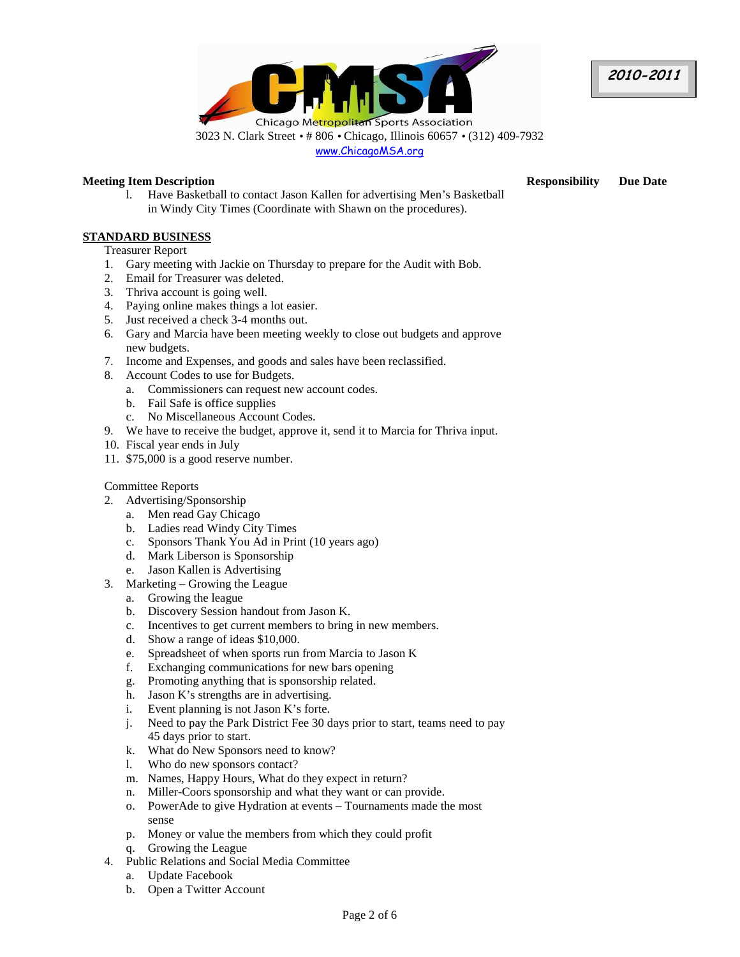



# **Meeting Item Description Responsibility Due Date**

l. Have Basketball to contact Jason Kallen for advertising Men's Basketball in Windy City Times (Coordinate with Shawn on the procedures).

# **STANDARD BUSINESS**

Treasurer Report

- 1. Gary meeting with Jackie on Thursday to prepare for the Audit with Bob.
- 2. Email for Treasurer was deleted.
- 3. Thriva account is going well.
- 4. Paying online makes things a lot easier.
- 5. Just received a check 3-4 months out.
- 6. Gary and Marcia have been meeting weekly to close out budgets and approve new budgets.
- 7. Income and Expenses, and goods and sales have been reclassified.
- 8. Account Codes to use for Budgets.
	- a. Commissioners can request new account codes.
		- b. Fail Safe is office supplies
	- c. No Miscellaneous Account Codes.
- 9. We have to receive the budget, approve it, send it to Marcia for Thriva input.
- 10. Fiscal year ends in July
- 11. \$75,000 is a good reserve number.

# Committee Reports

- 2. Advertising/Sponsorship
	- a. Men read Gay Chicago
	- b. Ladies read Windy City Times
	- c. Sponsors Thank You Ad in Print (10 years ago)
	- d. Mark Liberson is Sponsorship
	- e. Jason Kallen is Advertising
- 3. Marketing Growing the League
	- a. Growing the league
	- b. Discovery Session handout from Jason K.
	- c. Incentives to get current members to bring in new members.
	- d. Show a range of ideas \$10,000.
	- e. Spreadsheet of when sports run from Marcia to Jason K
	- f. Exchanging communications for new bars opening
	- g. Promoting anything that is sponsorship related.
	- h. Jason K's strengths are in advertising.
	- i. Event planning is not Jason K's forte.
	- j. Need to pay the Park District Fee 30 days prior to start, teams need to pay 45 days prior to start.
	- k. What do New Sponsors need to know?
	- l. Who do new sponsors contact?
	- m. Names, Happy Hours, What do they expect in return?
	- n. Miller-Coors sponsorship and what they want or can provide.
	- o. PowerAde to give Hydration at events Tournaments made the most sense
	- p. Money or value the members from which they could profit
	- q. Growing the League
- 4. Public Relations and Social Media Committee
	- a. Update Facebook
	- b. Open a Twitter Account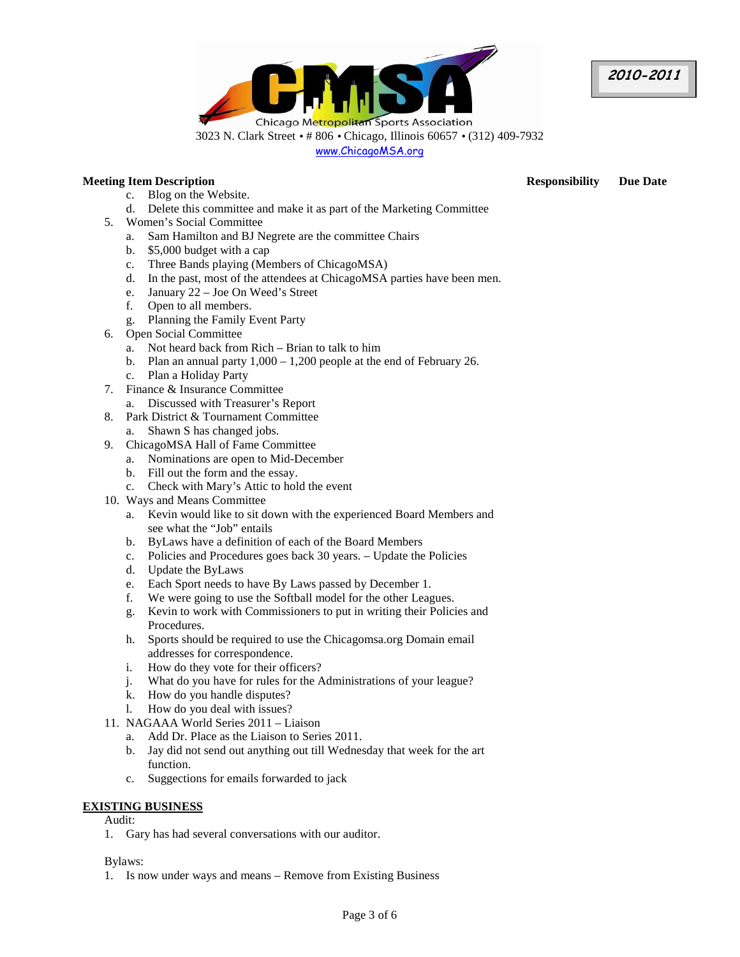



# **Meeting Item Description Responsibility Due Date**

- c. Blog on the Website.
- d. Delete this committee and make it as part of the Marketing Committee
- 5. Women's Social Committee
	- a. Sam Hamilton and BJ Negrete are the committee Chairs
	- b. \$5,000 budget with a cap
	- c. Three Bands playing (Members of ChicagoMSA)
	- d. In the past, most of the attendees at ChicagoMSA parties have been men.
	- e. January 22 Joe On Weed's Street
	- f. Open to all members.
	- g. Planning the Family Event Party
- 6. Open Social Committee
	- a. Not heard back from Rich Brian to talk to him
	- b. Plan an annual party 1,000 1,200 people at the end of February 26.
	- c. Plan a Holiday Party
- 7. Finance & Insurance Committee
	- a. Discussed with Treasurer's Report
- 8. Park District & Tournament Committee
- a. Shawn S has changed jobs.
- 9. ChicagoMSA Hall of Fame Committee
	- a. Nominations are open to Mid-December
	- b. Fill out the form and the essay.
	- c. Check with Mary's Attic to hold the event
- 10. Ways and Means Committee
	- a. Kevin would like to sit down with the experienced Board Members and see what the "Job" entails
	- b. ByLaws have a definition of each of the Board Members
	- c. Policies and Procedures goes back 30 years. Update the Policies
	- d. Update the ByLaws
	- e. Each Sport needs to have By Laws passed by December 1.
	- f. We were going to use the Softball model for the other Leagues.
	- g. Kevin to work with Commissioners to put in writing their Policies and Procedures.
	- h. Sports should be required to use the Chicagomsa.org Domain email addresses for correspondence.
	- i. How do they vote for their officers?
	- j. What do you have for rules for the Administrations of your league?
	- k. How do you handle disputes?
	- l. How do you deal with issues?
- 11. NAGAAA World Series 2011 Liaison
	- a. Add Dr. Place as the Liaison to Series 2011.
	- b. Jay did not send out anything out till Wednesday that week for the art function.
	- c. Suggections for emails forwarded to jack

## **EXISTING BUSINESS**

Audit:

1. Gary has had several conversations with our auditor.

## Bylaws:

1. Is now under ways and means – Remove from Existing Business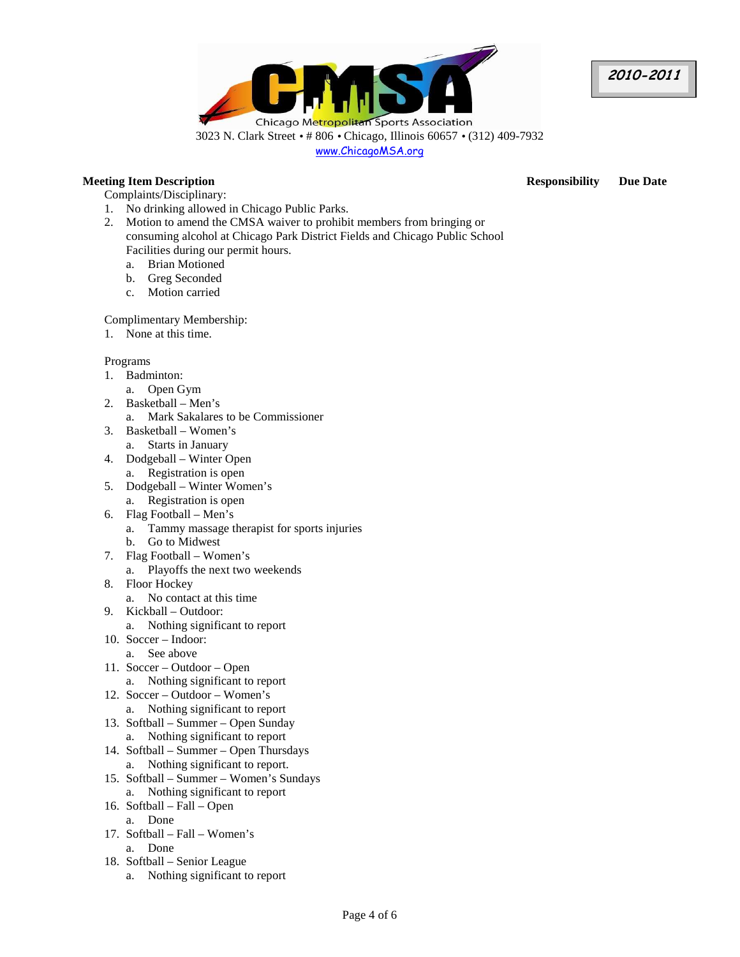



# **Meeting Item Description Responsibility Due Date**

- Complaints/Disciplinary:
- 1. No drinking allowed in Chicago Public Parks.
- 2. Motion to amend the CMSA waiver to prohibit members from bringing or consuming alcohol at Chicago Park District Fields and Chicago Public School Facilities during our permit hours.
	- a. Brian Motioned
	- b. Greg Seconded
	- c. Motion carried

Complimentary Membership:

1. None at this time.

# Programs

- 1. Badminton:
	- a. Open Gym
- 2. Basketball Men's
	- a. Mark Sakalares to be Commissioner
- 3. Basketball Women's
	- a. Starts in January
- 4. Dodgeball Winter Open a. Registration is open
- 5. Dodgeball Winter Women's
	- a. Registration is open
- 6. Flag Football Men's a. Tammy massage therapist for sports injuries
	- b. Go to Midwest
- 7. Flag Football Women's
- a. Playoffs the next two weekends
- 8. Floor Hockey
	- a. No contact at this time
- 9. Kickball Outdoor:
	- a. Nothing significant to report
- 10. Soccer Indoor: a. See above
- 11. Soccer Outdoor Open a. Nothing significant to report
- 12. Soccer Outdoor Women's a. Nothing significant to report
- 13. Softball Summer Open Sunday
	- a. Nothing significant to report
- 14. Softball Summer Open Thursdays a. Nothing significant to report.
- 15. Softball Summer Women's Sundays a. Nothing significant to report
- 16. Softball Fall Open a. Done
- 17. Softball Fall Women's a. Done
- 18. Softball Senior League
	- a. Nothing significant to report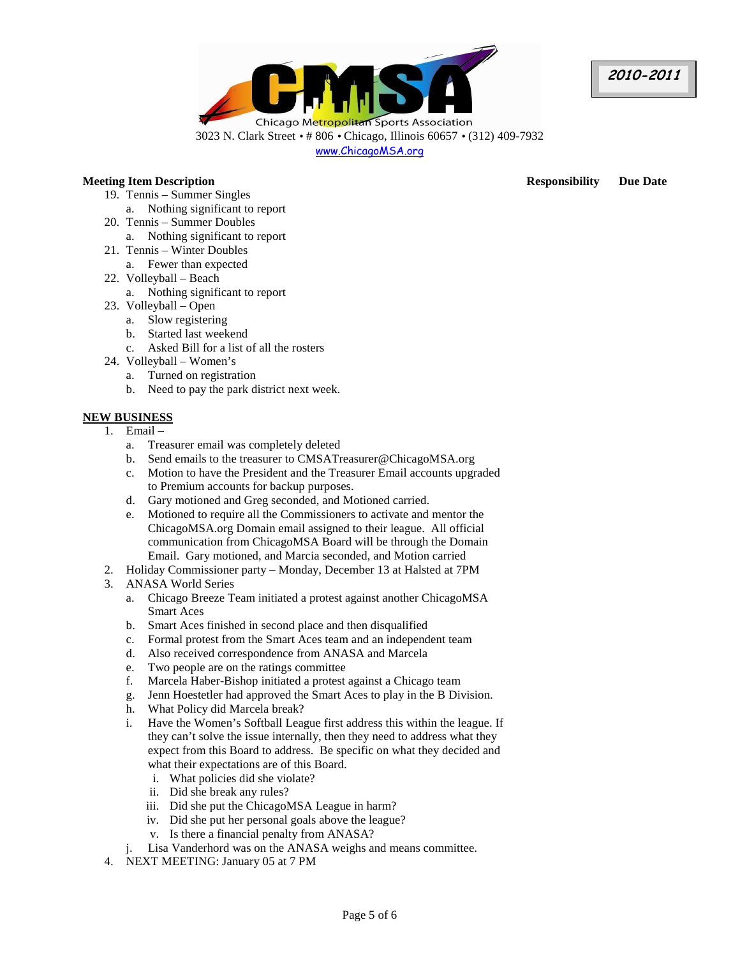

www.ChicagoMSA.org

# **Meeting Item Description Responsibility Due Date**

- 19. Tennis Summer Singles
	- a. Nothing significant to report
- 20. Tennis Summer Doubles
	- a. Nothing significant to report
- 21. Tennis Winter Doubles
	- a. Fewer than expected
- 22. Volleyball Beach
	- a. Nothing significant to report
- 23. Volleyball Open
	- a. Slow registering
	- b. Started last weekend
	- c. Asked Bill for a list of all the rosters
- 24. Volleyball Women's
	- a. Turned on registration
	- b. Need to pay the park district next week.

# **NEW BUSINESS**

- 1. Email
	- a. Treasurer email was completely deleted
	- b. Send emails to the treasurer to CMSATreasurer@ChicagoMSA.org
	- c. Motion to have the President and the Treasurer Email accounts upgraded to Premium accounts for backup purposes.
	- d. Gary motioned and Greg seconded, and Motioned carried.
	- e. Motioned to require all the Commissioners to activate and mentor the ChicagoMSA.org Domain email assigned to their league. All official communication from ChicagoMSA Board will be through the Domain Email. Gary motioned, and Marcia seconded, and Motion carried
- 2. Holiday Commissioner party Monday, December 13 at Halsted at 7PM
- 3. ANASA World Series
	- a. Chicago Breeze Team initiated a protest against another ChicagoMSA Smart Aces
	- b. Smart Aces finished in second place and then disqualified
	- c. Formal protest from the Smart Aces team and an independent team
	- d. Also received correspondence from ANASA and Marcela
	- e. Two people are on the ratings committee
	- f. Marcela Haber-Bishop initiated a protest against a Chicago team
	- g. Jenn Hoestetler had approved the Smart Aces to play in the B Division.
	- h. What Policy did Marcela break?
	- i. Have the Women's Softball League first address this within the league. If they can't solve the issue internally, then they need to address what they expect from this Board to address. Be specific on what they decided and what their expectations are of this Board.
		- i. What policies did she violate?
		- ii. Did she break any rules?
		- iii. Did she put the ChicagoMSA League in harm?
		- iv. Did she put her personal goals above the league?
		- v. Is there a financial penalty from ANASA?
	- Lisa Vanderhord was on the ANASA weighs and means committee.
- 4. NEXT MEETING: January 05 at 7 PM